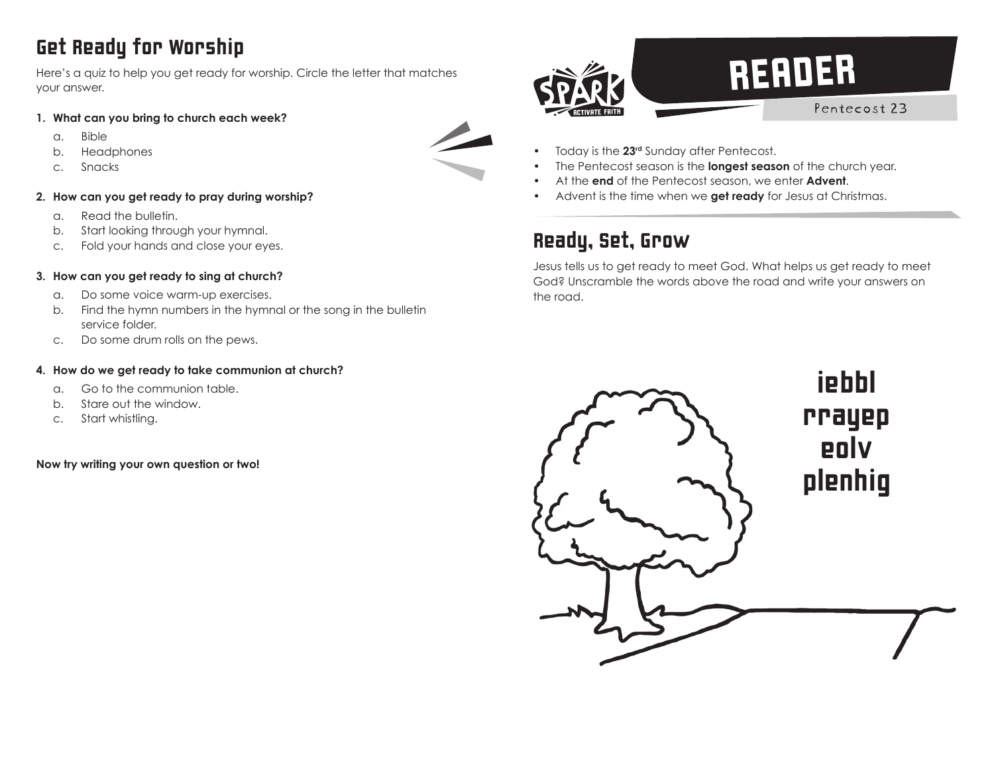## Get Ready for Worship

Here's a quiz to help you get ready for worship. Circle the letter that matches your answer.

- **1. What can you bring to church each week?**
	- a. Bible
	- b. Headphones
	- c. Snacks
- **2. How can you get ready to pray during worship?**
	- a. Read the bulletin.
	- b. Start looking through your hymnal.
	- c. Fold your hands and close your eyes.

### **3. How can you get ready to sing at church?**

- a. Do some voice warm-up exercises.
- b. Find the hymn numbers in the hymnal or the song in the bulletin service folder.
- c. Do some drum rolls on the pews.

#### **4. How do we get ready to take communion at church?**

- a. Go to the communion table.
- b. Stare out the window.
- c. Start whistling.

**Now try writing your own question or two!**

# **READER** Pentecost 23

- Today is the **23rd** Sunday after Pentecost.
- The Pentecost season is the **longest season** of the church year.
- At the **end** of the Pentecost season, we enter **Advent**.
- Advent is the time when we **get ready** for Jesus at Christmas.

### Ready, Set, Grow

Jesus tells us to get ready to meet God. What helps us get ready to meet God? Unscramble the words above the road and write your answers on the road.